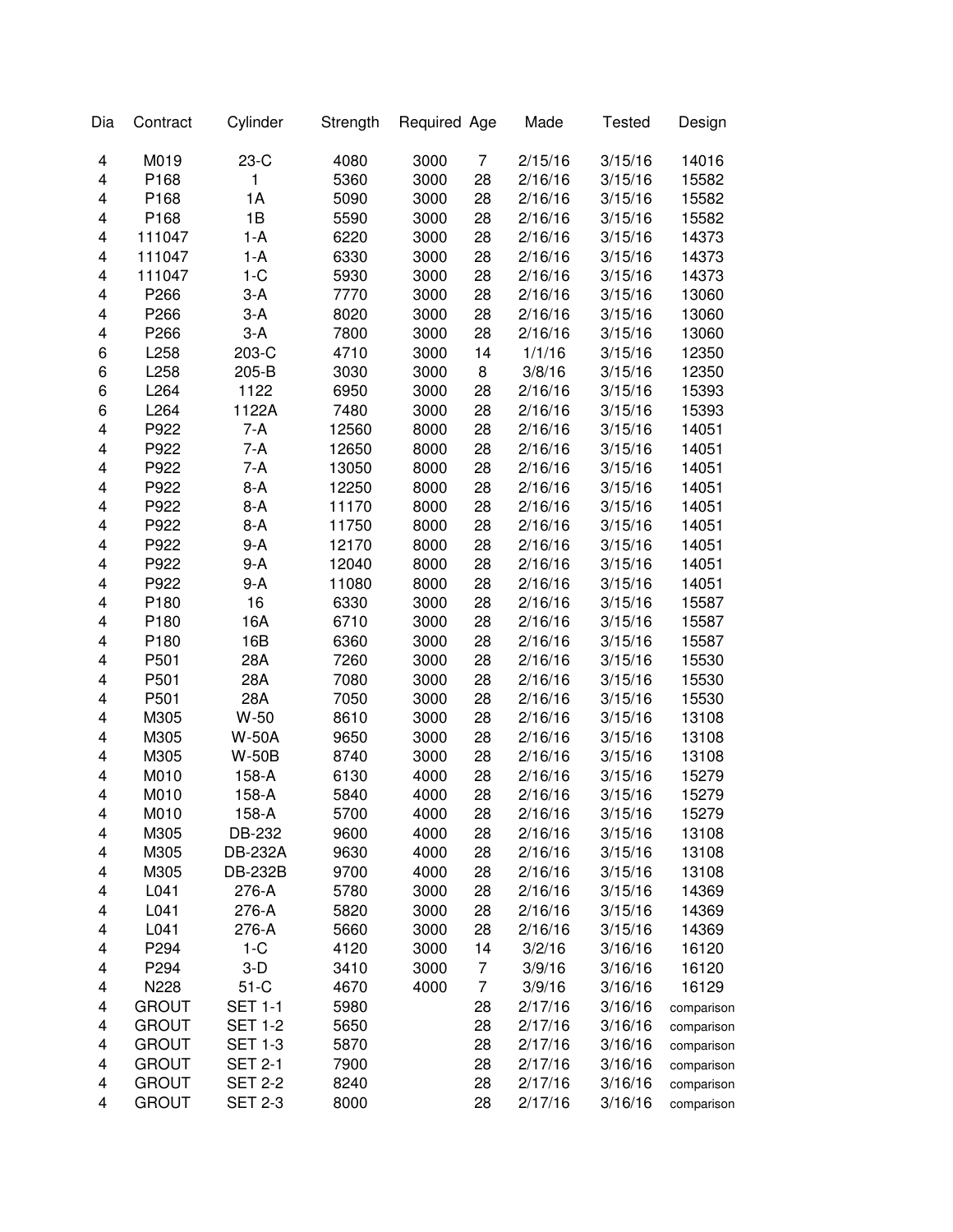| Dia                     | Contract     | Cylinder       | Strength | Required Age |                | Made    | <b>Tested</b> | Design     |
|-------------------------|--------------|----------------|----------|--------------|----------------|---------|---------------|------------|
| 4                       | M019         | $23-C$         | 4080     | 3000         | 7              | 2/15/16 | 3/15/16       | 14016      |
| 4                       | P168         | 1              | 5360     | 3000         | 28             | 2/16/16 | 3/15/16       | 15582      |
| 4                       | P168         | 1A             | 5090     | 3000         | 28             | 2/16/16 | 3/15/16       | 15582      |
| 4                       | P168         | 1B             | 5590     | 3000         | 28             | 2/16/16 | 3/15/16       | 15582      |
| 4                       | 111047       | $1-A$          | 6220     | 3000         | 28             | 2/16/16 | 3/15/16       | 14373      |
| 4                       | 111047       | $1-A$          | 6330     | 3000         | 28             | 2/16/16 | 3/15/16       | 14373      |
| 4                       | 111047       | $1-C$          | 5930     | 3000         | 28             | 2/16/16 | 3/15/16       | 14373      |
| 4                       | P266         | $3-A$          | 7770     | 3000         | 28             | 2/16/16 | 3/15/16       | 13060      |
| 4                       | P266         | $3-A$          | 8020     | 3000         | 28             | 2/16/16 | 3/15/16       | 13060      |
| 4                       | P266         | $3-A$          | 7800     | 3000         | 28             | 2/16/16 | 3/15/16       | 13060      |
| 6                       | L258         | 203-C          | 4710     | 3000         | 14             | 1/1/16  | 3/15/16       | 12350      |
| 6                       | L258         | 205-B          | 3030     | 3000         | 8              | 3/8/16  | 3/15/16       | 12350      |
| 6                       | L264         | 1122           | 6950     | 3000         | 28             | 2/16/16 | 3/15/16       | 15393      |
| 6                       | L264         | 1122A          | 7480     | 3000         | 28             | 2/16/16 | 3/15/16       | 15393      |
| $\overline{\mathbf{4}}$ | P922         | 7-A            | 12560    | 8000         | 28             | 2/16/16 | 3/15/16       | 14051      |
| 4                       | P922         | 7-A            | 12650    | 8000         | 28             | 2/16/16 | 3/15/16       | 14051      |
| 4                       | P922         | $7-A$          | 13050    | 8000         | 28             | 2/16/16 | 3/15/16       | 14051      |
| 4                       | P922         | $8-A$          | 12250    | 8000         | 28             | 2/16/16 | 3/15/16       | 14051      |
| $\overline{\mathbf{4}}$ | P922         | $8-A$          | 11170    | 8000         | 28             | 2/16/16 | 3/15/16       | 14051      |
| 4                       | P922         | $8-A$          | 11750    | 8000         | 28             | 2/16/16 | 3/15/16       | 14051      |
| 4                       | P922         | $9-A$          | 12170    | 8000         | 28             | 2/16/16 | 3/15/16       | 14051      |
| 4                       | P922         | $9-A$          | 12040    | 8000         | 28             | 2/16/16 | 3/15/16       | 14051      |
| 4                       | P922         | 9-A            | 11080    | 8000         | 28             | 2/16/16 | 3/15/16       | 14051      |
| 4                       | P180         | 16             | 6330     | 3000         | 28             | 2/16/16 | 3/15/16       | 15587      |
| 4                       | P180         | 16A            | 6710     | 3000         | 28             | 2/16/16 | 3/15/16       | 15587      |
| 4                       | P180         | 16B            | 6360     | 3000         | 28             | 2/16/16 | 3/15/16       | 15587      |
| 4                       | P501         | 28A            | 7260     | 3000         | 28             | 2/16/16 | 3/15/16       | 15530      |
| 4                       | P501         | 28A            | 7080     | 3000         | 28             | 2/16/16 | 3/15/16       | 15530      |
| 4                       | P501         | 28A            | 7050     | 3000         | 28             | 2/16/16 | 3/15/16       | 15530      |
| 4                       | M305         | $W-50$         | 8610     | 3000         | 28             | 2/16/16 | 3/15/16       | 13108      |
| 4                       | M305         | <b>W-50A</b>   | 9650     | 3000         | 28             | 2/16/16 | 3/15/16       | 13108      |
| 4                       | M305         | <b>W-50B</b>   | 8740     | 3000         | 28             | 2/16/16 | 3/15/16       | 13108      |
| 4                       | M010         | 158-A          | 6130     | 4000         | 28             | 2/16/16 | 3/15/16       | 15279      |
| 4                       | M010         | 158-A          | 5840     | 4000         | 28             | 2/16/16 | 3/15/16       | 15279      |
| 4                       | M010         | 158-A          | 5700     | 4000         | 28             | 2/16/16 | 3/15/16       | 15279      |
| 4                       | M305         | DB-232         | 9600     | 4000         | 28             | 2/16/16 | 3/15/16       | 13108      |
| 4                       | M305         | <b>DB-232A</b> | 9630     | 4000         | 28             | 2/16/16 | 3/15/16       | 13108      |
| 4                       | M305         | <b>DB-232B</b> | 9700     | 4000         | 28             | 2/16/16 | 3/15/16       | 13108      |
| 4                       | L041         | 276-A          | 5780     | 3000         | 28             | 2/16/16 | 3/15/16       | 14369      |
| 4                       | L041         | 276-A          | 5820     | 3000         | 28             | 2/16/16 | 3/15/16       | 14369      |
| 4                       | L041         | 276-A          | 5660     | 3000         | 28             | 2/16/16 | 3/15/16       | 14369      |
| 4                       | P294         | $1-C$          | 4120     | 3000         | 14             | 3/2/16  | 3/16/16       | 16120      |
| 4                       | P294         | $3-D$          | 3410     | 3000         | $\overline{7}$ | 3/9/16  | 3/16/16       | 16120      |
| 4                       | N228         | $51-C$         | 4670     | 4000         | $\overline{7}$ | 3/9/16  | 3/16/16       | 16129      |
| 4                       | <b>GROUT</b> | <b>SET 1-1</b> | 5980     |              | 28             | 2/17/16 | 3/16/16       | comparison |
| 4                       | <b>GROUT</b> | <b>SET 1-2</b> | 5650     |              | 28             | 2/17/16 | 3/16/16       | comparison |
| 4                       | <b>GROUT</b> | <b>SET 1-3</b> | 5870     |              | 28             | 2/17/16 | 3/16/16       | comparison |
| 4                       | <b>GROUT</b> | <b>SET 2-1</b> | 7900     |              | 28             | 2/17/16 | 3/16/16       | comparison |
| 4                       | <b>GROUT</b> | <b>SET 2-2</b> | 8240     |              | 28             | 2/17/16 | 3/16/16       | comparison |
| 4                       | <b>GROUT</b> | <b>SET 2-3</b> | 8000     |              | 28             | 2/17/16 | 3/16/16       | comparison |
|                         |              |                |          |              |                |         |               |            |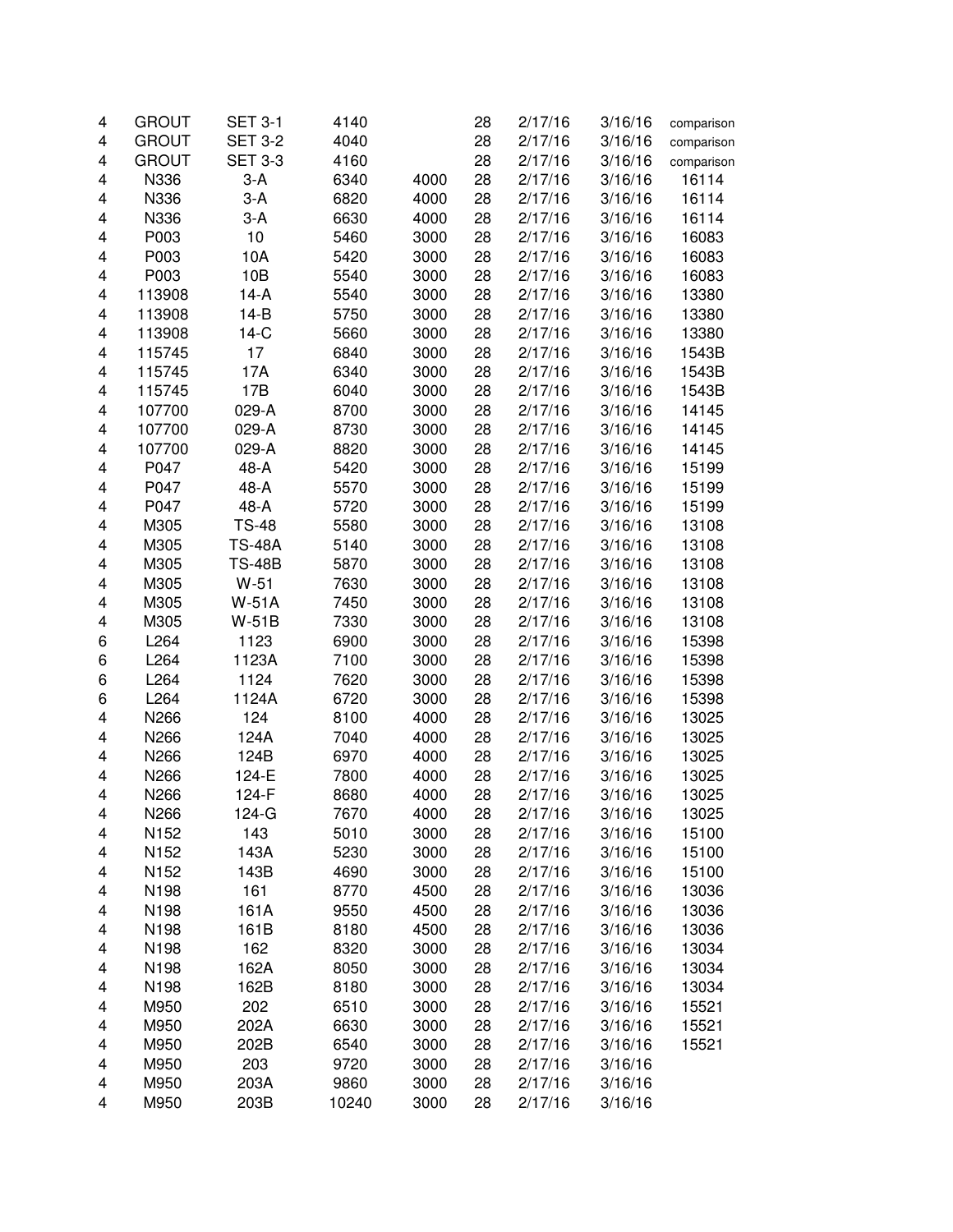| 4                       | <b>GROUT</b> | <b>SET 3-1</b> | 4140  |      | 28 | 2/17/16 | 3/16/16 | comparison |
|-------------------------|--------------|----------------|-------|------|----|---------|---------|------------|
| 4                       | <b>GROUT</b> | <b>SET 3-2</b> | 4040  |      | 28 | 2/17/16 | 3/16/16 | comparison |
| 4                       | <b>GROUT</b> | <b>SET 3-3</b> | 4160  |      | 28 | 2/17/16 | 3/16/16 | comparison |
| 4                       | N336         | $3-A$          | 6340  | 4000 | 28 | 2/17/16 | 3/16/16 | 16114      |
| 4                       | N336         | $3-A$          | 6820  | 4000 | 28 | 2/17/16 | 3/16/16 | 16114      |
| 4                       | N336         | $3-A$          | 6630  | 4000 | 28 | 2/17/16 | 3/16/16 | 16114      |
| 4                       | P003         | 10             | 5460  | 3000 | 28 | 2/17/16 | 3/16/16 | 16083      |
| 4                       | P003         | 10A            | 5420  | 3000 | 28 | 2/17/16 | 3/16/16 | 16083      |
| 4                       | P003         | 10B            | 5540  | 3000 | 28 | 2/17/16 | 3/16/16 | 16083      |
| 4                       | 113908       | $14-A$         | 5540  | 3000 | 28 | 2/17/16 | 3/16/16 | 13380      |
| 4                       | 113908       | $14-B$         | 5750  | 3000 | 28 | 2/17/16 | 3/16/16 | 13380      |
| $\overline{\mathbf{4}}$ | 113908       | $14-C$         | 5660  | 3000 | 28 | 2/17/16 | 3/16/16 | 13380      |
| 4                       | 115745       | 17             | 6840  | 3000 | 28 | 2/17/16 | 3/16/16 | 1543B      |
| 4                       | 115745       | 17A            | 6340  | 3000 | 28 | 2/17/16 | 3/16/16 | 1543B      |
| 4                       | 115745       | 17B            | 6040  | 3000 | 28 | 2/17/16 | 3/16/16 | 1543B      |
| 4                       | 107700       | 029-A          | 8700  | 3000 | 28 | 2/17/16 | 3/16/16 | 14145      |
| 4                       | 107700       | 029-A          | 8730  | 3000 | 28 | 2/17/16 | 3/16/16 | 14145      |
| 4                       | 107700       | 029-A          | 8820  | 3000 | 28 | 2/17/16 | 3/16/16 | 14145      |
| 4                       | P047         | 48-A           | 5420  | 3000 | 28 | 2/17/16 | 3/16/16 |            |
|                         |              |                |       |      |    |         |         | 15199      |
| 4                       | P047         | 48-A           | 5570  | 3000 | 28 | 2/17/16 | 3/16/16 | 15199      |
| 4                       | P047         | 48-A           | 5720  | 3000 | 28 | 2/17/16 | 3/16/16 | 15199      |
| 4                       | M305         | <b>TS-48</b>   | 5580  | 3000 | 28 | 2/17/16 | 3/16/16 | 13108      |
| 4                       | M305         | <b>TS-48A</b>  | 5140  | 3000 | 28 | 2/17/16 | 3/16/16 | 13108      |
| 4                       | M305         | <b>TS-48B</b>  | 5870  | 3000 | 28 | 2/17/16 | 3/16/16 | 13108      |
| 4                       | M305         | $W-51$         | 7630  | 3000 | 28 | 2/17/16 | 3/16/16 | 13108      |
| 4                       | M305         | <b>W-51A</b>   | 7450  | 3000 | 28 | 2/17/16 | 3/16/16 | 13108      |
| 4                       | M305         | $W-51B$        | 7330  | 3000 | 28 | 2/17/16 | 3/16/16 | 13108      |
| 6                       | L264         | 1123           | 6900  | 3000 | 28 | 2/17/16 | 3/16/16 | 15398      |
| 6                       | L264         | 1123A          | 7100  | 3000 | 28 | 2/17/16 | 3/16/16 | 15398      |
| 6                       | L264         | 1124           | 7620  | 3000 | 28 | 2/17/16 | 3/16/16 | 15398      |
| 6                       | L264         | 1124A          | 6720  | 3000 | 28 | 2/17/16 | 3/16/16 | 15398      |
| 4                       | N266         | 124            | 8100  | 4000 | 28 | 2/17/16 | 3/16/16 | 13025      |
| 4                       | N266         | 124A           | 7040  | 4000 | 28 | 2/17/16 | 3/16/16 | 13025      |
| 4                       | N266         | 124B           | 6970  | 4000 | 28 | 2/17/16 | 3/16/16 | 13025      |
| 4                       | N266         | 124-E          | 7800  | 4000 | 28 | 2/17/16 | 3/16/16 | 13025      |
| 4                       | N266         | 124-F          | 8680  | 4000 | 28 | 2/17/16 | 3/16/16 | 13025      |
| 4                       | N266         | 124-G          | 7670  | 4000 | 28 | 2/17/16 | 3/16/16 | 13025      |
| 4                       | N152         | 143            | 5010  | 3000 | 28 | 2/17/16 | 3/16/16 | 15100      |
| 4                       | N152         | 143A           | 5230  | 3000 | 28 | 2/17/16 | 3/16/16 | 15100      |
| 4                       | N152         | 143B           | 4690  | 3000 | 28 | 2/17/16 | 3/16/16 | 15100      |
| 4                       | N198         | 161            | 8770  | 4500 | 28 | 2/17/16 | 3/16/16 | 13036      |
| 4                       | N198         | 161A           | 9550  | 4500 | 28 | 2/17/16 | 3/16/16 | 13036      |
| 4                       | N198         | 161B           | 8180  | 4500 | 28 | 2/17/16 | 3/16/16 | 13036      |
| 4                       | N198         | 162            | 8320  | 3000 | 28 | 2/17/16 | 3/16/16 | 13034      |
| 4                       | N198         | 162A           | 8050  | 3000 | 28 | 2/17/16 | 3/16/16 | 13034      |
| 4                       | N198         | 162B           | 8180  | 3000 | 28 | 2/17/16 | 3/16/16 | 13034      |
| 4                       | M950         | 202            | 6510  | 3000 | 28 | 2/17/16 | 3/16/16 | 15521      |
| 4                       | M950         | 202A           | 6630  | 3000 | 28 | 2/17/16 | 3/16/16 | 15521      |
| 4                       | M950         | 202B           | 6540  | 3000 | 28 | 2/17/16 | 3/16/16 | 15521      |
| 4                       | M950         | 203            | 9720  | 3000 | 28 | 2/17/16 | 3/16/16 |            |
| 4                       | M950         | 203A           | 9860  | 3000 | 28 | 2/17/16 | 3/16/16 |            |
| 4                       | M950         | 203B           | 10240 | 3000 | 28 | 2/17/16 | 3/16/16 |            |
|                         |              |                |       |      |    |         |         |            |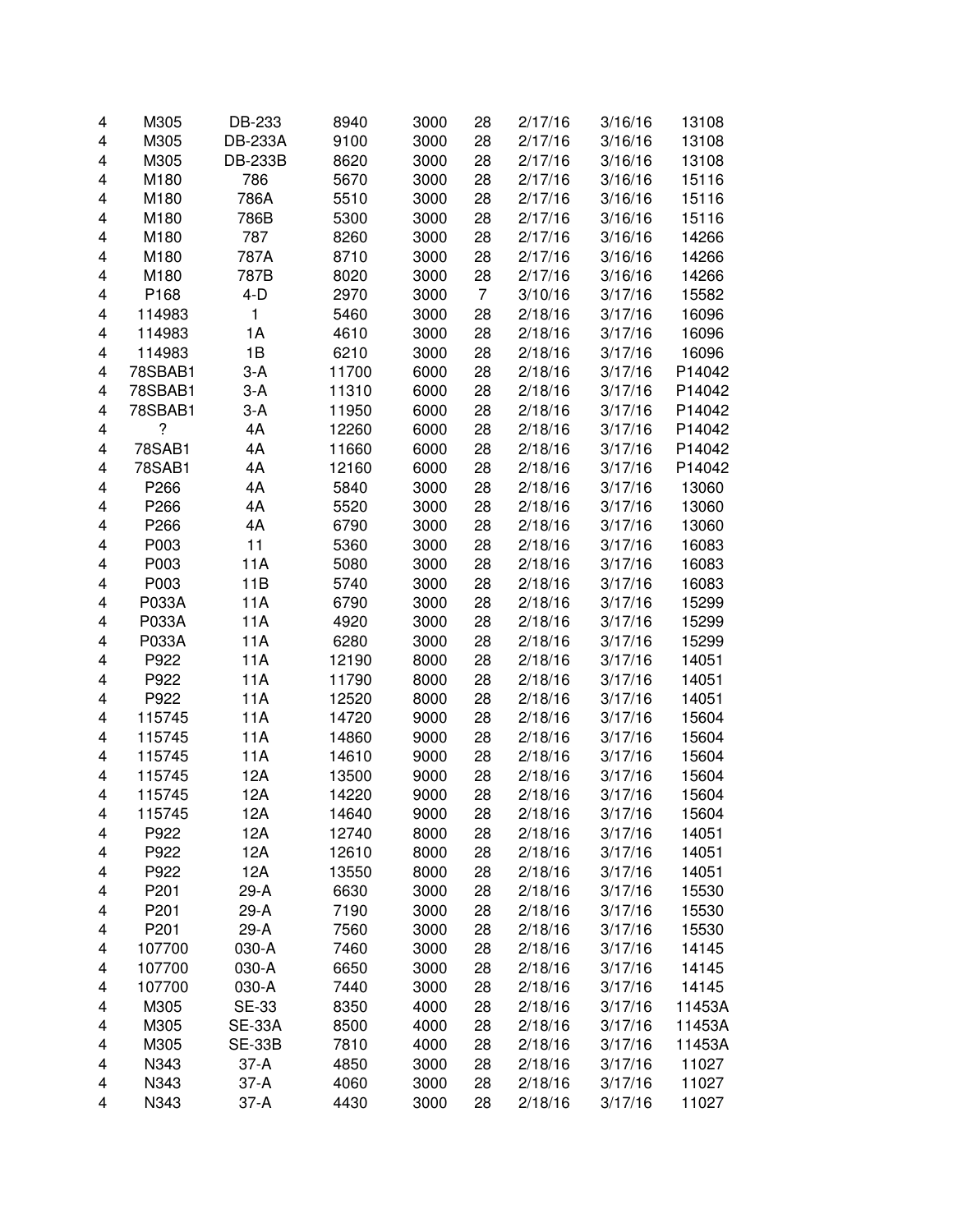| 4 | M305    | DB-233         | 8940  | 3000 | 28             | 2/17/16 | 3/16/16 | 13108  |
|---|---------|----------------|-------|------|----------------|---------|---------|--------|
| 4 | M305    | <b>DB-233A</b> | 9100  | 3000 | 28             | 2/17/16 | 3/16/16 | 13108  |
| 4 | M305    | DB-233B        | 8620  | 3000 | 28             | 2/17/16 | 3/16/16 | 13108  |
| 4 | M180    | 786            | 5670  | 3000 | 28             | 2/17/16 | 3/16/16 | 15116  |
| 4 | M180    | 786A           | 5510  | 3000 | 28             | 2/17/16 | 3/16/16 | 15116  |
| 4 | M180    | 786B           | 5300  | 3000 | 28             | 2/17/16 | 3/16/16 | 15116  |
| 4 | M180    | 787            | 8260  | 3000 | 28             | 2/17/16 | 3/16/16 | 14266  |
| 4 | M180    | 787A           | 8710  | 3000 | 28             | 2/17/16 | 3/16/16 | 14266  |
| 4 | M180    | 787B           | 8020  | 3000 | 28             | 2/17/16 | 3/16/16 | 14266  |
| 4 | P168    | $4-D$          | 2970  | 3000 | $\overline{7}$ | 3/10/16 | 3/17/16 | 15582  |
| 4 | 114983  | 1              | 5460  | 3000 | 28             | 2/18/16 | 3/17/16 | 16096  |
| 4 | 114983  | 1A             | 4610  | 3000 | 28             | 2/18/16 | 3/17/16 | 16096  |
| 4 | 114983  | 1B             | 6210  | 3000 | 28             | 2/18/16 | 3/17/16 | 16096  |
| 4 | 78SBAB1 | 3-A            | 11700 | 6000 | 28             | 2/18/16 | 3/17/16 | P14042 |
| 4 | 78SBAB1 | $3-A$          | 11310 | 6000 | 28             | 2/18/16 | 3/17/16 | P14042 |
| 4 | 78SBAB1 | $3-A$          | 11950 | 6000 | 28             | 2/18/16 | 3/17/16 | P14042 |
| 4 | ?       | 4A             | 12260 | 6000 | 28             | 2/18/16 | 3/17/16 | P14042 |
| 4 | 78SAB1  | 4A             | 11660 | 6000 | 28             | 2/18/16 | 3/17/16 | P14042 |
| 4 | 78SAB1  | 4A             | 12160 | 6000 | 28             | 2/18/16 | 3/17/16 | P14042 |
| 4 | P266    | 4A             | 5840  | 3000 | 28             | 2/18/16 | 3/17/16 | 13060  |
| 4 | P266    | 4A             | 5520  | 3000 | 28             | 2/18/16 | 3/17/16 | 13060  |
| 4 | P266    | 4A             | 6790  | 3000 | 28             | 2/18/16 | 3/17/16 | 13060  |
| 4 | P003    | 11             | 5360  | 3000 | 28             | 2/18/16 | 3/17/16 | 16083  |
| 4 | P003    | 11A            | 5080  | 3000 | 28             | 2/18/16 | 3/17/16 | 16083  |
| 4 | P003    | 11B            | 5740  | 3000 | 28             | 2/18/16 | 3/17/16 | 16083  |
| 4 | P033A   | 11A            | 6790  | 3000 | 28             | 2/18/16 | 3/17/16 | 15299  |
| 4 | P033A   | 11A            | 4920  | 3000 | 28             | 2/18/16 | 3/17/16 | 15299  |
| 4 | P033A   | 11A            | 6280  | 3000 | 28             | 2/18/16 | 3/17/16 | 15299  |
| 4 | P922    | 11A            | 12190 | 8000 | 28             | 2/18/16 | 3/17/16 | 14051  |
| 4 | P922    | 11A            | 11790 | 8000 | 28             | 2/18/16 | 3/17/16 | 14051  |
| 4 | P922    | 11A            | 12520 | 8000 | 28             | 2/18/16 | 3/17/16 | 14051  |
| 4 | 115745  | 11A            | 14720 | 9000 | 28             | 2/18/16 | 3/17/16 | 15604  |
| 4 | 115745  | 11A            | 14860 | 9000 | 28             | 2/18/16 | 3/17/16 | 15604  |
| 4 | 115745  | 11A            | 14610 | 9000 | 28             | 2/18/16 | 3/17/16 | 15604  |
| 4 | 115745  | 12A            | 13500 | 9000 | 28             | 2/18/16 | 3/17/16 | 15604  |
| 4 | 115745  | 12A            | 14220 | 9000 | 28             | 2/18/16 | 3/17/16 | 15604  |
| 4 | 115745  | 12A            | 14640 | 9000 | 28             | 2/18/16 | 3/17/16 | 15604  |
| 4 | P922    | 12A            | 12740 | 8000 | 28             | 2/18/16 | 3/17/16 | 14051  |
| 4 | P922    | 12A            | 12610 | 8000 | 28             | 2/18/16 | 3/17/16 | 14051  |
| 4 | P922    | 12A            | 13550 | 8000 | 28             | 2/18/16 | 3/17/16 | 14051  |
| 4 | P201    | 29-A           | 6630  | 3000 | 28             | 2/18/16 | 3/17/16 | 15530  |
| 4 | P201    | 29-A           | 7190  | 3000 | 28             | 2/18/16 | 3/17/16 | 15530  |
| 4 | P201    | 29-A           | 7560  | 3000 | 28             | 2/18/16 | 3/17/16 | 15530  |
| 4 | 107700  | 030-A          | 7460  | 3000 | 28             | 2/18/16 | 3/17/16 | 14145  |
| 4 | 107700  | 030-A          | 6650  | 3000 | 28             | 2/18/16 | 3/17/16 | 14145  |
| 4 | 107700  | 030-A          | 7440  | 3000 | 28             | 2/18/16 | 3/17/16 | 14145  |
| 4 | M305    | <b>SE-33</b>   | 8350  | 4000 | 28             | 2/18/16 | 3/17/16 | 11453A |
| 4 | M305    | <b>SE-33A</b>  | 8500  | 4000 | 28             | 2/18/16 | 3/17/16 | 11453A |
| 4 | M305    | <b>SE-33B</b>  | 7810  | 4000 | 28             | 2/18/16 | 3/17/16 | 11453A |
| 4 | N343    | $37-A$         | 4850  | 3000 | 28             | 2/18/16 | 3/17/16 | 11027  |
| 4 | N343    | 37-A           | 4060  | 3000 | 28             | 2/18/16 | 3/17/16 | 11027  |
| 4 | N343    | 37-A           | 4430  | 3000 | 28             | 2/18/16 | 3/17/16 | 11027  |
|   |         |                |       |      |                |         |         |        |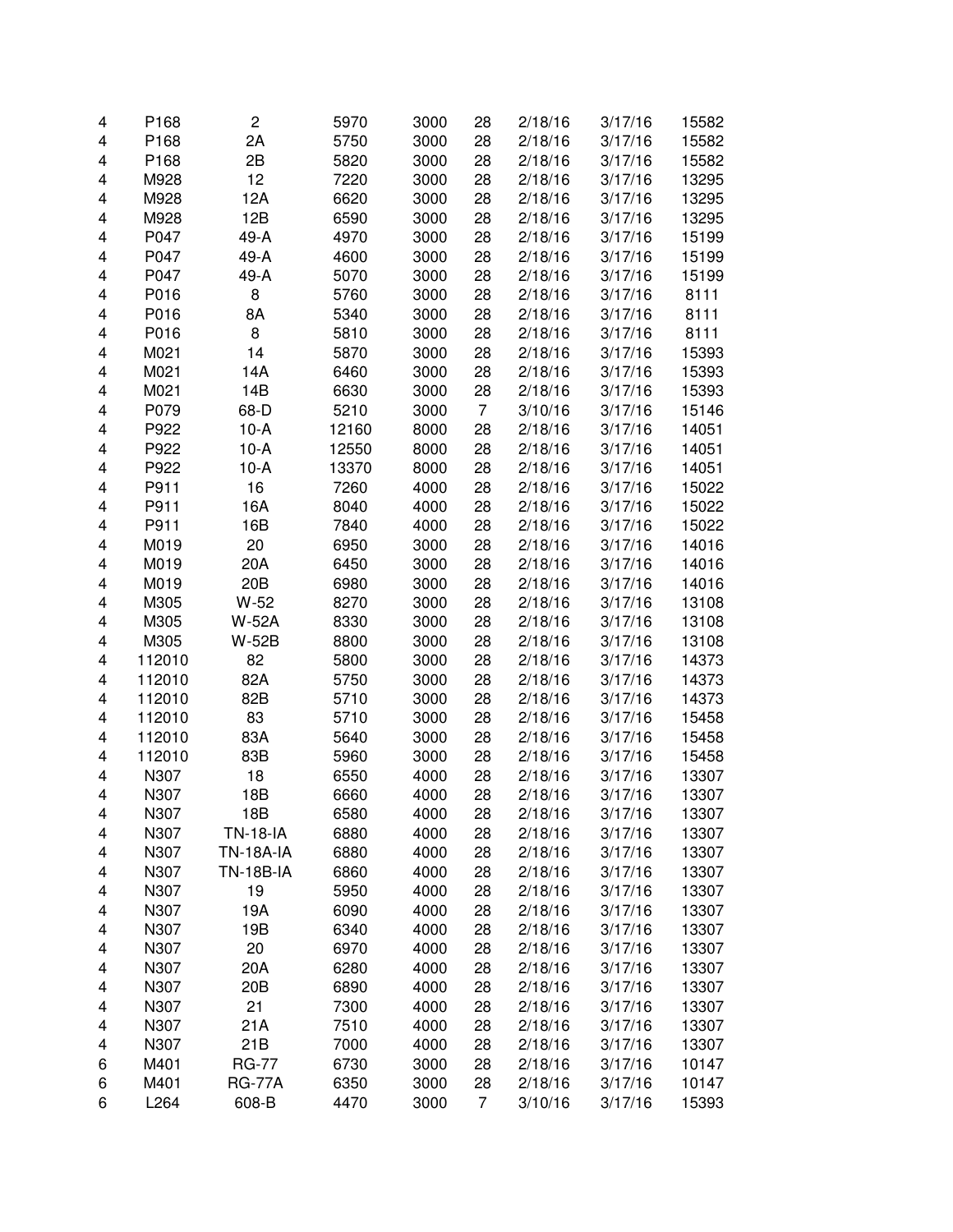| 4 | P168   | $\overline{c}$   | 5970         | 3000         | 28 | 2/18/16 | 3/17/16 | 15582 |
|---|--------|------------------|--------------|--------------|----|---------|---------|-------|
| 4 | P168   | 2A               | 5750         | 3000         | 28 | 2/18/16 | 3/17/16 | 15582 |
| 4 | P168   | 2B               | 5820         | 3000         | 28 | 2/18/16 | 3/17/16 | 15582 |
| 4 | M928   | 12               | 7220         | 3000         | 28 | 2/18/16 | 3/17/16 | 13295 |
| 4 | M928   | 12A              | 6620         | 3000         | 28 | 2/18/16 | 3/17/16 | 13295 |
| 4 | M928   | 12B              | 6590         | 3000         | 28 | 2/18/16 | 3/17/16 | 13295 |
| 4 | P047   | 49-A             | 4970         | 3000         | 28 | 2/18/16 | 3/17/16 | 15199 |
| 4 | P047   | 49-A             | 4600         | 3000         | 28 | 2/18/16 | 3/17/16 | 15199 |
| 4 | P047   | 49-A             | 5070         | 3000         | 28 | 2/18/16 | 3/17/16 | 15199 |
| 4 | P016   | 8                | 5760         | 3000         | 28 | 2/18/16 | 3/17/16 | 8111  |
| 4 | P016   | 8A               | 5340         | 3000         | 28 | 2/18/16 | 3/17/16 | 8111  |
| 4 | P016   | 8                | 5810         | 3000         | 28 | 2/18/16 | 3/17/16 | 8111  |
| 4 | M021   | 14               | 5870         | 3000         | 28 | 2/18/16 | 3/17/16 | 15393 |
| 4 | M021   | 14A              | 6460         | 3000         | 28 | 2/18/16 | 3/17/16 | 15393 |
| 4 | M021   | 14B              | 6630         | 3000         | 28 | 2/18/16 | 3/17/16 | 15393 |
| 4 | P079   | 68-D             | 5210         | 3000         | 7  | 3/10/16 | 3/17/16 | 15146 |
| 4 | P922   | $10-A$           | 12160        | 8000         | 28 | 2/18/16 | 3/17/16 | 14051 |
| 4 | P922   | $10-A$           | 12550        | 8000         | 28 | 2/18/16 | 3/17/16 | 14051 |
| 4 | P922   | $10-A$           | 13370        | 8000         | 28 | 2/18/16 | 3/17/16 | 14051 |
|   | P911   | 16               |              |              |    | 2/18/16 |         | 15022 |
| 4 | P911   |                  | 7260<br>8040 | 4000<br>4000 | 28 |         | 3/17/16 |       |
| 4 |        | 16A              | 7840         | 4000         | 28 | 2/18/16 | 3/17/16 | 15022 |
| 4 | P911   | 16B              |              |              | 28 | 2/18/16 | 3/17/16 | 15022 |
| 4 | M019   | 20               | 6950         | 3000         | 28 | 2/18/16 | 3/17/16 | 14016 |
| 4 | M019   | 20A              | 6450         | 3000         | 28 | 2/18/16 | 3/17/16 | 14016 |
| 4 | M019   | 20 <sub>B</sub>  | 6980         | 3000         | 28 | 2/18/16 | 3/17/16 | 14016 |
| 4 | M305   | $W-52$           | 8270         | 3000         | 28 | 2/18/16 | 3/17/16 | 13108 |
| 4 | M305   | <b>W-52A</b>     | 8330         | 3000         | 28 | 2/18/16 | 3/17/16 | 13108 |
| 4 | M305   | <b>W-52B</b>     | 8800         | 3000         | 28 | 2/18/16 | 3/17/16 | 13108 |
| 4 | 112010 | 82               | 5800         | 3000         | 28 | 2/18/16 | 3/17/16 | 14373 |
| 4 | 112010 | 82A              | 5750         | 3000         | 28 | 2/18/16 | 3/17/16 | 14373 |
| 4 | 112010 | 82B              | 5710         | 3000         | 28 | 2/18/16 | 3/17/16 | 14373 |
| 4 | 112010 | 83               | 5710         | 3000         | 28 | 2/18/16 | 3/17/16 | 15458 |
| 4 | 112010 | 83A              | 5640         | 3000         | 28 | 2/18/16 | 3/17/16 | 15458 |
| 4 | 112010 | 83B              | 5960         | 3000         | 28 | 2/18/16 | 3/17/16 | 15458 |
| 4 | N307   | 18               | 6550         | 4000         | 28 | 2/18/16 | 3/17/16 | 13307 |
| 4 | N307   | 18B              | 6660         | 4000         | 28 | 2/18/16 | 3/17/16 | 13307 |
| 4 | N307   | 18B              | 6580         | 4000         | 28 | 2/18/16 | 3/17/16 | 13307 |
| 4 | N307   | <b>TN-18-IA</b>  | 6880         | 4000         | 28 | 2/18/16 | 3/17/16 | 13307 |
| 4 | N307   | <b>TN-18A-IA</b> | 6880         | 4000         | 28 | 2/18/16 | 3/17/16 | 13307 |
| 4 | N307   | <b>TN-18B-IA</b> | 6860         | 4000         | 28 | 2/18/16 | 3/17/16 | 13307 |
| 4 | N307   | 19               | 5950         | 4000         | 28 | 2/18/16 | 3/17/16 | 13307 |
| 4 | N307   | 19A              | 6090         | 4000         | 28 | 2/18/16 | 3/17/16 | 13307 |
| 4 | N307   | 19B              | 6340         | 4000         | 28 | 2/18/16 | 3/17/16 | 13307 |
| 4 | N307   | 20               | 6970         | 4000         | 28 | 2/18/16 | 3/17/16 | 13307 |
| 4 | N307   | 20A              | 6280         | 4000         | 28 | 2/18/16 | 3/17/16 | 13307 |
| 4 | N307   | 20B              | 6890         | 4000         | 28 | 2/18/16 | 3/17/16 | 13307 |
| 4 | N307   | 21               | 7300         | 4000         | 28 | 2/18/16 | 3/17/16 | 13307 |
| 4 | N307   | 21A              | 7510         | 4000         | 28 | 2/18/16 | 3/17/16 | 13307 |
| 4 | N307   | 21B              | 7000         | 4000         | 28 | 2/18/16 | 3/17/16 | 13307 |
| 6 | M401   | <b>RG-77</b>     | 6730         | 3000         | 28 | 2/18/16 | 3/17/16 | 10147 |
| 6 | M401   | <b>RG-77A</b>    | 6350         | 3000         | 28 | 2/18/16 | 3/17/16 | 10147 |
| 6 | L264   | 608-B            | 4470         | 3000         | 7  | 3/10/16 | 3/17/16 | 15393 |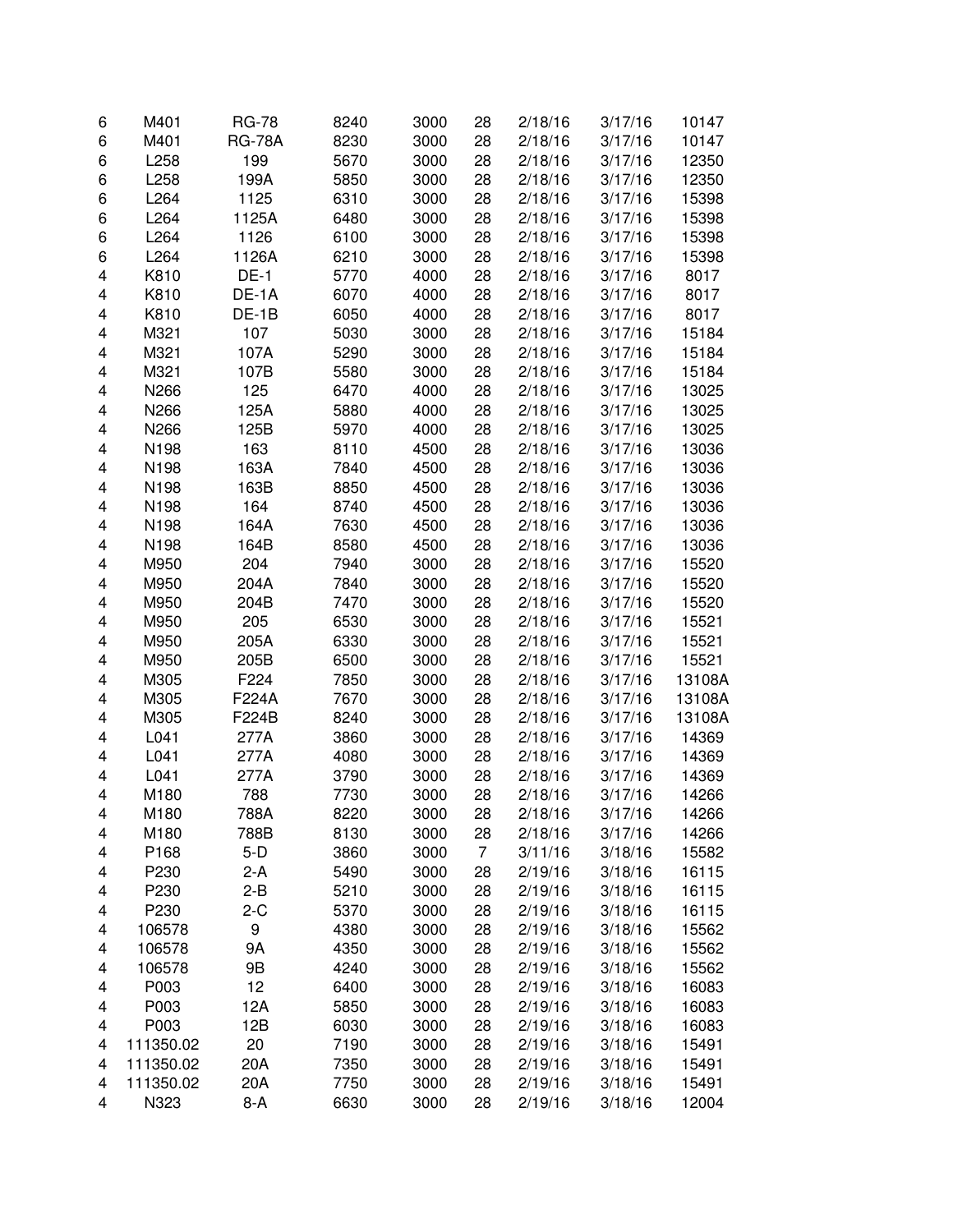| 6 | M401      | <b>RG-78</b>  | 8240 | 3000 | 28 | 2/18/16 | 3/17/16 | 10147  |
|---|-----------|---------------|------|------|----|---------|---------|--------|
| 6 | M401      | <b>RG-78A</b> | 8230 | 3000 | 28 | 2/18/16 | 3/17/16 | 10147  |
| 6 | L258      | 199           | 5670 | 3000 | 28 | 2/18/16 | 3/17/16 | 12350  |
| 6 | L258      | 199A          | 5850 | 3000 | 28 | 2/18/16 | 3/17/16 | 12350  |
| 6 | L264      | 1125          | 6310 | 3000 | 28 | 2/18/16 | 3/17/16 | 15398  |
| 6 | L264      | 1125A         | 6480 | 3000 | 28 | 2/18/16 | 3/17/16 | 15398  |
| 6 | L264      | 1126          | 6100 | 3000 | 28 | 2/18/16 | 3/17/16 | 15398  |
| 6 | L264      | 1126A         | 6210 | 3000 | 28 | 2/18/16 | 3/17/16 | 15398  |
| 4 | K810      | $DE-1$        | 5770 | 4000 | 28 | 2/18/16 | 3/17/16 | 8017   |
| 4 | K810      | DE-1A         | 6070 | 4000 | 28 | 2/18/16 | 3/17/16 | 8017   |
| 4 | K810      | DE-1B         | 6050 | 4000 | 28 | 2/18/16 | 3/17/16 | 8017   |
| 4 | M321      | 107           | 5030 | 3000 | 28 | 2/18/16 | 3/17/16 | 15184  |
| 4 | M321      | 107A          | 5290 | 3000 | 28 | 2/18/16 | 3/17/16 | 15184  |
| 4 | M321      | 107B          | 5580 | 3000 | 28 | 2/18/16 | 3/17/16 | 15184  |
| 4 | N266      | 125           | 6470 | 4000 | 28 | 2/18/16 | 3/17/16 | 13025  |
| 4 | N266      | 125A          | 5880 | 4000 | 28 | 2/18/16 | 3/17/16 | 13025  |
| 4 | N266      | 125B          | 5970 | 4000 | 28 | 2/18/16 | 3/17/16 | 13025  |
| 4 | N198      | 163           | 8110 | 4500 | 28 | 2/18/16 | 3/17/16 | 13036  |
| 4 | N198      | 163A          | 7840 | 4500 | 28 | 2/18/16 | 3/17/16 | 13036  |
| 4 | N198      | 163B          | 8850 | 4500 | 28 | 2/18/16 | 3/17/16 | 13036  |
| 4 | N198      | 164           | 8740 | 4500 | 28 | 2/18/16 | 3/17/16 | 13036  |
| 4 | N198      | 164A          | 7630 | 4500 | 28 | 2/18/16 | 3/17/16 | 13036  |
| 4 | N198      | 164B          | 8580 | 4500 | 28 | 2/18/16 | 3/17/16 | 13036  |
| 4 | M950      | 204           | 7940 | 3000 | 28 | 2/18/16 | 3/17/16 | 15520  |
| 4 | M950      | 204A          | 7840 | 3000 | 28 | 2/18/16 | 3/17/16 | 15520  |
| 4 | M950      | 204B          | 7470 | 3000 | 28 | 2/18/16 | 3/17/16 | 15520  |
| 4 | M950      | 205           | 6530 | 3000 | 28 | 2/18/16 | 3/17/16 | 15521  |
| 4 | M950      | 205A          | 6330 | 3000 | 28 | 2/18/16 | 3/17/16 | 15521  |
| 4 | M950      | 205B          | 6500 | 3000 | 28 | 2/18/16 | 3/17/16 | 15521  |
| 4 | M305      | F224          | 7850 | 3000 | 28 | 2/18/16 | 3/17/16 | 13108A |
| 4 | M305      | F224A         | 7670 | 3000 | 28 | 2/18/16 | 3/17/16 | 13108A |
| 4 | M305      | F224B         | 8240 | 3000 | 28 | 2/18/16 | 3/17/16 | 13108A |
| 4 | L041      | 277A          | 3860 | 3000 | 28 | 2/18/16 | 3/17/16 | 14369  |
| 4 | L041      | 277A          | 4080 | 3000 | 28 | 2/18/16 | 3/17/16 | 14369  |
| 4 | L041      | 277A          | 3790 | 3000 | 28 | 2/18/16 | 3/17/16 | 14369  |
| 4 | M180      | 788           | 7730 | 3000 | 28 | 2/18/16 | 3/17/16 | 14266  |
| 4 | M180      | 788A          | 8220 | 3000 | 28 | 2/18/16 | 3/17/16 | 14266  |
| 4 | M180      | 788B          | 8130 | 3000 | 28 | 2/18/16 | 3/17/16 | 14266  |
| 4 | P168      | $5-D$         | 3860 | 3000 | 7  | 3/11/16 | 3/18/16 | 15582  |
| 4 | P230      | $2-A$         | 5490 | 3000 | 28 | 2/19/16 | 3/18/16 | 16115  |
| 4 | P230      | $2 - B$       | 5210 | 3000 | 28 | 2/19/16 | 3/18/16 | 16115  |
| 4 | P230      | $2-C$         | 5370 | 3000 | 28 | 2/19/16 | 3/18/16 | 16115  |
| 4 | 106578    | 9             | 4380 | 3000 | 28 | 2/19/16 | 3/18/16 | 15562  |
| 4 | 106578    | 9Α            | 4350 | 3000 | 28 | 2/19/16 | 3/18/16 | 15562  |
| 4 | 106578    | 9B            | 4240 | 3000 | 28 | 2/19/16 | 3/18/16 | 15562  |
| 4 | P003      | 12            | 6400 | 3000 | 28 | 2/19/16 | 3/18/16 | 16083  |
| 4 | P003      | 12A           | 5850 | 3000 | 28 | 2/19/16 | 3/18/16 | 16083  |
| 4 | P003      | 12B           | 6030 | 3000 | 28 | 2/19/16 | 3/18/16 | 16083  |
| 4 | 111350.02 | 20            | 7190 | 3000 | 28 | 2/19/16 | 3/18/16 | 15491  |
| 4 | 111350.02 | 20A           | 7350 | 3000 | 28 | 2/19/16 | 3/18/16 | 15491  |
| 4 | 111350.02 | 20A           | 7750 | 3000 | 28 | 2/19/16 | 3/18/16 | 15491  |
| 4 | N323      | $8-A$         | 6630 | 3000 | 28 | 2/19/16 | 3/18/16 | 12004  |
|   |           |               |      |      |    |         |         |        |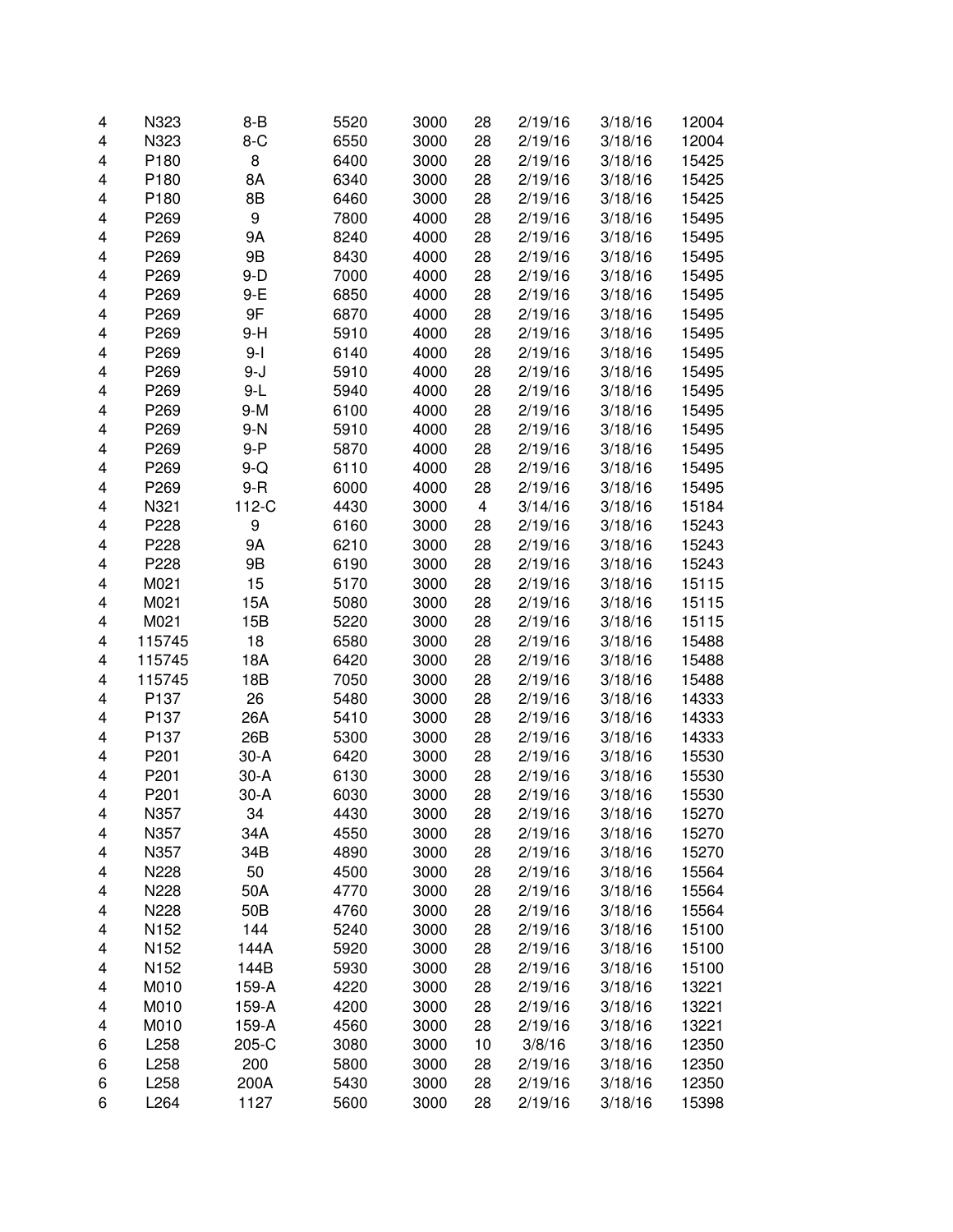| 4      | N323             | $8 - B$   | 5520         | 3000         | 28       | 2/19/16            | 3/18/16            | 12004          |
|--------|------------------|-----------|--------------|--------------|----------|--------------------|--------------------|----------------|
| 4      | N323             | $8-C$     | 6550         | 3000         | 28       | 2/19/16            | 3/18/16            | 12004          |
| 4      | P180             | 8         | 6400         | 3000         | 28       | 2/19/16            | 3/18/16            | 15425          |
| 4      | P180             | 8A        | 6340         | 3000         | 28       | 2/19/16            | 3/18/16            | 15425          |
| 4      | P180             | 8B        | 6460         | 3000         | 28       | 2/19/16            | 3/18/16            | 15425          |
| 4      | P269             | 9         | 7800         | 4000         | 28       | 2/19/16            | 3/18/16            | 15495          |
| 4      | P269             | <b>9A</b> | 8240         | 4000         | 28       | 2/19/16            | 3/18/16            | 15495          |
| 4      | P269             | 9B        | 8430         | 4000         | 28       | 2/19/16            | 3/18/16            | 15495          |
| 4      | P269             | $9-D$     | 7000         | 4000         | 28       | 2/19/16            | 3/18/16            | 15495          |
| 4      | P269             | $9-E$     | 6850         | 4000         | 28       | 2/19/16            | 3/18/16            | 15495          |
| 4      | P269             | 9F        | 6870         | 4000         | 28       | 2/19/16            | 3/18/16            | 15495          |
| 4      | P269             | $9-H$     | 5910         | 4000         | 28       | 2/19/16            | 3/18/16            | 15495          |
| 4      | P269             | $9-I$     | 6140         | 4000         | 28       | 2/19/16            | 3/18/16            | 15495          |
| 4      | P269             | $9 - J$   | 5910         | 4000         | 28       | 2/19/16            | 3/18/16            | 15495          |
| 4      | P269             | $9-L$     | 5940         | 4000         | 28       | 2/19/16            | 3/18/16            | 15495          |
| 4      | P269             | $9-M$     | 6100         | 4000         | 28       | 2/19/16            | 3/18/16            | 15495          |
| 4      | P269             | $9-N$     | 5910         | 4000         | 28       | 2/19/16            | 3/18/16            | 15495          |
| 4      | P269             | $9 - P$   | 5870         | 4000         | 28       | 2/19/16            | 3/18/16            | 15495          |
| 4      | P269             | $9-Q$     | 6110         | 4000         | 28       | 2/19/16            | 3/18/16            | 15495          |
| 4      | P269             | $9 - R$   | 6000         | 4000         | 28       | 2/19/16            | 3/18/16            | 15495          |
| 4      | N321             | 112-C     | 4430         | 3000         | 4        | 3/14/16            | 3/18/16            | 15184          |
| 4      | P228             | 9         | 6160         | 3000         | 28       | 2/19/16            | 3/18/16            | 15243          |
| 4      | P228             | <b>9A</b> | 6210         | 3000         | 28       | 2/19/16            | 3/18/16            | 15243          |
| 4      | P228             | 9B        | 6190         | 3000         | 28       | 2/19/16            | 3/18/16            | 15243          |
| 4      | M021             | 15        | 5170         | 3000         | 28       | 2/19/16            | 3/18/16            | 15115          |
| 4      | M021             | 15A       | 5080         | 3000         | 28       | 2/19/16            | 3/18/16            | 15115          |
| 4      | M021             | 15B       | 5220         | 3000         | 28       | 2/19/16            | 3/18/16            | 15115          |
| 4      | 115745           | 18        | 6580         | 3000         | 28       | 2/19/16            | 3/18/16            | 15488          |
| 4      | 115745           | 18A       | 6420         | 3000         | 28       | 2/19/16            | 3/18/16            | 15488          |
| 4      | 115745           | 18B       | 7050         | 3000         | 28       | 2/19/16            | 3/18/16            | 15488          |
| 4      | P <sub>137</sub> | 26        | 5480         | 3000         | 28       | 2/19/16            | 3/18/16            | 14333          |
| 4      | P137             | 26A       | 5410         | 3000         | 28       | 2/19/16            | 3/18/16            | 14333          |
| 4      | P137             | 26B       | 5300         | 3000         | 28       | 2/19/16            | 3/18/16            | 14333          |
| 4      | P201             | $30-A$    | 6420         | 3000         | 28       | 2/19/16            | 3/18/16            | 15530          |
| 4      | P201             | $30-A$    | 6130         | 3000         | 28       | 2/19/16            | 3/18/16            | 15530          |
| 4      | P201             | $30-A$    | 6030         | 3000         | 28       | 2/19/16            | 3/18/16            | 15530          |
|        |                  |           |              |              |          |                    |                    |                |
| 4<br>4 | N357<br>N357     | 34<br>34A | 4430<br>4550 | 3000<br>3000 | 28<br>28 | 2/19/16<br>2/19/16 | 3/18/16<br>3/18/16 | 15270<br>15270 |
| 4      | N357             | 34B       | 4890         | 3000         | 28       | 2/19/16            | 3/18/16            | 15270          |
| 4      | N228             | 50        | 4500         | 3000         | 28       | 2/19/16            | 3/18/16            | 15564          |
|        | N228             | 50A       | 4770         | 3000         | 28       | 2/19/16            | 3/18/16            | 15564          |
| 4      |                  | 50B       |              | 3000         | 28       |                    |                    | 15564          |
| 4      | N228             |           | 4760         |              |          | 2/19/16            | 3/18/16            |                |
| 4      | N <sub>152</sub> | 144       | 5240         | 3000         | 28       | 2/19/16            | 3/18/16            | 15100          |
| 4      | N152             | 144A      | 5920         | 3000         | 28       | 2/19/16            | 3/18/16            | 15100          |
| 4      | N152             | 144B      | 5930         | 3000         | 28       | 2/19/16            | 3/18/16            | 15100          |
| 4      | M010             | 159-A     | 4220         | 3000         | 28       | 2/19/16            | 3/18/16            | 13221          |
| 4      | M010             | 159-A     | 4200         | 3000         | 28       | 2/19/16            | 3/18/16            | 13221          |
| 4      | M010             | 159-A     | 4560         | 3000         | 28       | 2/19/16            | 3/18/16            | 13221          |
| 6      | L258             | 205-C     | 3080         | 3000         | 10       | 3/8/16             | 3/18/16            | 12350          |
| 6      | L258             | 200       | 5800         | 3000         | 28       | 2/19/16            | 3/18/16            | 12350          |
| 6      | L258             | 200A      | 5430         | 3000         | 28       | 2/19/16            | 3/18/16            | 12350          |
| 6      | L264             | 1127      | 5600         | 3000         | 28       | 2/19/16            | 3/18/16            | 15398          |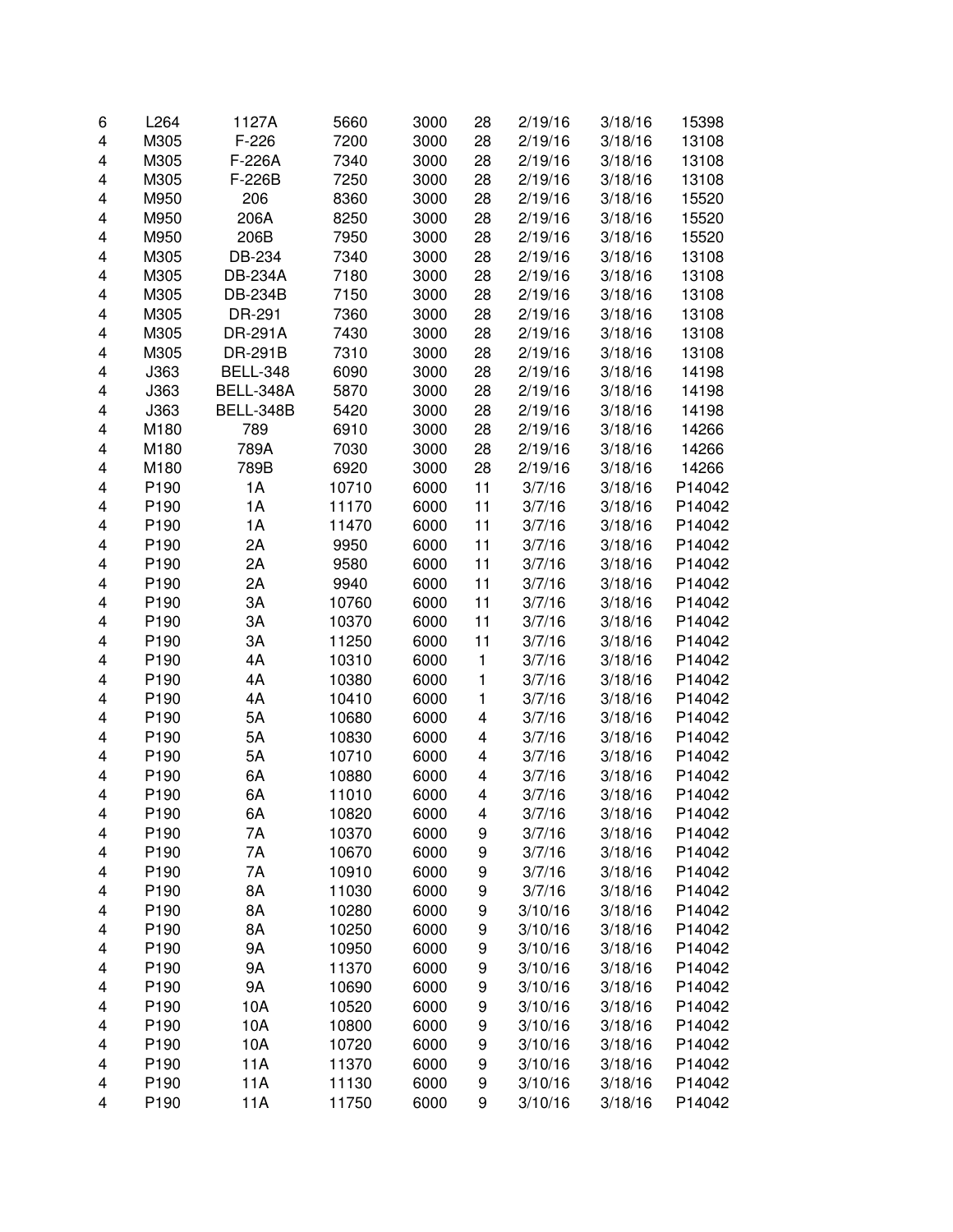| 6 | L264             | 1127A           | 5660  | 3000 | 28 | 2/19/16 | 3/18/16 | 15398  |
|---|------------------|-----------------|-------|------|----|---------|---------|--------|
| 4 | M305             | $F-226$         | 7200  | 3000 | 28 | 2/19/16 | 3/18/16 | 13108  |
| 4 | M305             | F-226A          | 7340  | 3000 | 28 | 2/19/16 | 3/18/16 | 13108  |
| 4 | M305             | F-226B          | 7250  | 3000 | 28 | 2/19/16 | 3/18/16 | 13108  |
| 4 | M950             | 206             | 8360  | 3000 | 28 | 2/19/16 | 3/18/16 | 15520  |
| 4 | M950             | 206A            | 8250  | 3000 | 28 | 2/19/16 | 3/18/16 | 15520  |
| 4 | M950             | 206B            | 7950  | 3000 | 28 | 2/19/16 | 3/18/16 | 15520  |
| 4 | M305             | DB-234          | 7340  | 3000 | 28 | 2/19/16 | 3/18/16 | 13108  |
| 4 | M305             | <b>DB-234A</b>  | 7180  | 3000 | 28 | 2/19/16 | 3/18/16 | 13108  |
| 4 | M305             | <b>DB-234B</b>  | 7150  | 3000 | 28 | 2/19/16 | 3/18/16 | 13108  |
| 4 | M305             | DR-291          | 7360  | 3000 | 28 | 2/19/16 | 3/18/16 | 13108  |
| 4 | M305             | <b>DR-291A</b>  | 7430  | 3000 | 28 | 2/19/16 | 3/18/16 | 13108  |
| 4 | M305             | DR-291B         | 7310  | 3000 | 28 | 2/19/16 | 3/18/16 | 13108  |
| 4 | J363             | <b>BELL-348</b> | 6090  | 3000 | 28 | 2/19/16 | 3/18/16 | 14198  |
| 4 | J363             | BELL-348A       | 5870  | 3000 | 28 | 2/19/16 | 3/18/16 | 14198  |
| 4 |                  | BELL-348B       |       | 3000 | 28 |         | 3/18/16 |        |
|   | J363             |                 | 5420  |      |    | 2/19/16 |         | 14198  |
| 4 | M180             | 789             | 6910  | 3000 | 28 | 2/19/16 | 3/18/16 | 14266  |
| 4 | M180             | 789A            | 7030  | 3000 | 28 | 2/19/16 | 3/18/16 | 14266  |
| 4 | M180             | 789B            | 6920  | 3000 | 28 | 2/19/16 | 3/18/16 | 14266  |
| 4 | P190             | 1A              | 10710 | 6000 | 11 | 3/7/16  | 3/18/16 | P14042 |
| 4 | P <sub>190</sub> | 1A              | 11170 | 6000 | 11 | 3/7/16  | 3/18/16 | P14042 |
| 4 | P190             | 1A              | 11470 | 6000 | 11 | 3/7/16  | 3/18/16 | P14042 |
| 4 | P190             | 2A              | 9950  | 6000 | 11 | 3/7/16  | 3/18/16 | P14042 |
| 4 | P190             | 2A              | 9580  | 6000 | 11 | 3/7/16  | 3/18/16 | P14042 |
| 4 | P190             | 2A              | 9940  | 6000 | 11 | 3/7/16  | 3/18/16 | P14042 |
| 4 | P190             | 3A              | 10760 | 6000 | 11 | 3/7/16  | 3/18/16 | P14042 |
| 4 | P190             | 3A              | 10370 | 6000 | 11 | 3/7/16  | 3/18/16 | P14042 |
| 4 | P190             | 3A              | 11250 | 6000 | 11 | 3/7/16  | 3/18/16 | P14042 |
| 4 | P190             | 4A              | 10310 | 6000 | 1  | 3/7/16  | 3/18/16 | P14042 |
| 4 | P190             | 4A              | 10380 | 6000 | 1  | 3/7/16  | 3/18/16 | P14042 |
| 4 | P190             | 4A              | 10410 | 6000 | 1  | 3/7/16  | 3/18/16 | P14042 |
| 4 | P190             | 5A              | 10680 | 6000 | 4  | 3/7/16  | 3/18/16 | P14042 |
| 4 | P190             | 5A              | 10830 | 6000 | 4  | 3/7/16  | 3/18/16 | P14042 |
| 4 | P190             | 5A              | 10710 | 6000 | 4  | 3/7/16  | 3/18/16 | P14042 |
| 4 | P190             | 6A              | 10880 | 6000 | 4  | 3/7/16  | 3/18/16 | P14042 |
| 4 | P <sub>190</sub> | 6A              | 11010 | 6000 | 4  | 3/7/16  | 3/18/16 | P14042 |
| 4 | P <sub>190</sub> | 6A              | 10820 | 6000 | 4  | 3/7/16  | 3/18/16 | P14042 |
| 4 | P <sub>190</sub> | 7Α              | 10370 | 6000 | 9  | 3/7/16  | 3/18/16 | P14042 |
| 4 | P190             | 7Α              | 10670 | 6000 | 9  | 3/7/16  | 3/18/16 | P14042 |
| 4 | P190             | 7A              | 10910 | 6000 | 9  | 3/7/16  | 3/18/16 | P14042 |
| 4 | P190             | 8A              | 11030 | 6000 | 9  | 3/7/16  | 3/18/16 | P14042 |
| 4 | P190             | 8A              | 10280 | 6000 | 9  | 3/10/16 | 3/18/16 | P14042 |
| 4 | P190             | 8A              | 10250 | 6000 | 9  | 3/10/16 | 3/18/16 | P14042 |
| 4 | P190             | 9Α              | 10950 | 6000 | 9  | 3/10/16 | 3/18/16 | P14042 |
| 4 | P190             | 9Α              | 11370 | 6000 | 9  | 3/10/16 | 3/18/16 | P14042 |
| 4 | P190             | 9A              | 10690 | 6000 | 9  | 3/10/16 | 3/18/16 | P14042 |
|   | P <sub>190</sub> |                 |       |      |    |         |         | P14042 |
| 4 |                  | 10A             | 10520 | 6000 | 9  | 3/10/16 | 3/18/16 |        |
| 4 | P190             | 10A             | 10800 | 6000 | 9  | 3/10/16 | 3/18/16 | P14042 |
| 4 | P190             | 10A             | 10720 | 6000 | 9  | 3/10/16 | 3/18/16 | P14042 |
| 4 | P190             | 11A             | 11370 | 6000 | 9  | 3/10/16 | 3/18/16 | P14042 |
| 4 | P190             | 11A             | 11130 | 6000 | 9  | 3/10/16 | 3/18/16 | P14042 |
| 4 | P190             | 11A             | 11750 | 6000 | 9  | 3/10/16 | 3/18/16 | P14042 |